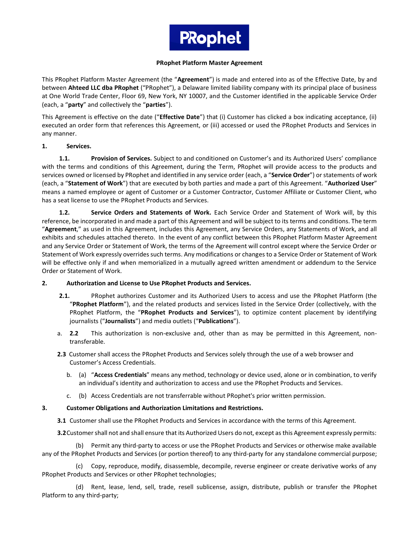

#### **PRophet Platform Master Agreement**

This PRophet Platform Master Agreement (the "**Agreement**") is made and entered into as of the Effective Date, by and between **Ahteed LLC dba PRophet** ("PRophet"), a Delaware limited liability company with its principal place of business at One World Trade Center, Floor 69, New York, NY 10007, and the Customer identified in the applicable Service Order (each, a "**party**" and collectively the "**parties**").

This Agreement is effective on the date ("**Effective Date**") that (i) Customer has clicked a box indicating acceptance, (ii) executed an order form that references this Agreement, or (iii) accessed or used the PRophet Products and Services in any manner.

#### **1. Services.**

**1.1. Provision of Services.** Subject to and conditioned on Customer's and its Authorized Users' compliance with the terms and conditions of this Agreement, during the Term, PRophet will provide access to the products and services owned or licensed by PRophet and identified in any service order (each, a "**Service Order**") or statements of work (each, a "**Statement of Work**") that are executed by both parties and made a part of this Agreement. "**Authorized User**" means a named employee or agent of Customer or a Customer Contractor, Customer Affiliate or Customer Client, who has a seat license to use the PRophet Products and Services.

**1.2. Service Orders and Statements of Work.** Each Service Order and Statement of Work will, by this reference, be incorporated in and made a part of this Agreement and will be subject to its terms and conditions. The term "**Agreement**," as used in this Agreement, includes this Agreement, any Service Orders, any Statements of Work, and all exhibits and schedules attached thereto. In the event of any conflict between this PRophet Platform Master Agreement and any Service Order or Statement of Work, the terms of the Agreement will control except where the Service Order or Statement of Work expressly overrides such terms. Any modifications or changes to a Service Order or Statement of Work will be effective only if and when memorialized in a mutually agreed written amendment or addendum to the Service Order or Statement of Work.

### **2. Authorization and License to Use PRophet Products and Services.**

- **2.1.** PRophet authorizes Customer and its Authorized Users to access and use the PRophet Platform (the "**PRophet Platform**"), and the related products and services listed in the Service Order (collectively, with the PRophet Platform, the "**PRophet Products and Services**"), to optimize content placement by identifying journalists ("**Journalists**") and media outlets ("**Publications**").
- a. **2.2** This authorization is non-exclusive and, other than as may be permitted in this Agreement, nontransferable.
- **2.3** Customer shall access the PRophet Products and Services solely through the use of a web browser and Customer's Access Credentials.
	- b. (a) "**Access Credentials**" means any method, technology or device used, alone or in combination, to verify an individual's identity and authorization to access and use the PRophet Products and Services.
	- c. (b) Access Credentials are not transferrable without PRophet's prior written permission.

### **3. Customer Obligations and Authorization Limitations and Restrictions.**

**3.1** Customer shall use the PRophet Products and Services in accordance with the terms of this Agreement.

**3.2**Customer shall not and shall ensure that its Authorized Users do not, except as this Agreement expressly permits:

(b) Permit any third-party to access or use the PRophet Products and Services or otherwise make available any of the PRophet Products and Services (or portion thereof) to any third-party for any standalone commercial purpose;

(c) Copy, reproduce, modify, disassemble, decompile, reverse engineer or create derivative works of any PRophet Products and Services or other PRophet technologies;

(d) Rent, lease, lend, sell, trade, resell sublicense, assign, distribute, publish or transfer the PRophet Platform to any third-party;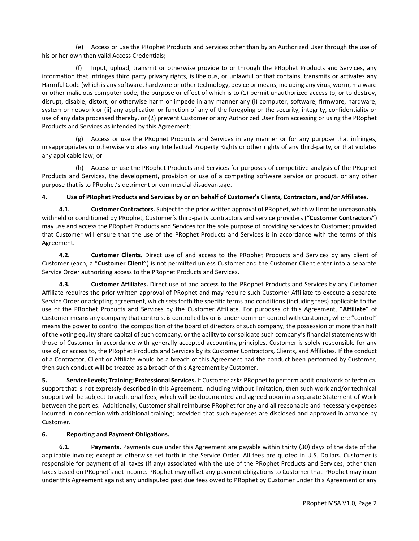(e) Access or use the PRophet Products and Services other than by an Authorized User through the use of his or her own then valid Access Credentials;

(f) Input, upload, transmit or otherwise provide to or through the PRophet Products and Services, any information that infringes third party privacy rights, is libelous, or unlawful or that contains, transmits or activates any Harmful Code (which is any software, hardware or other technology, device or means, including any virus, worm, malware or other malicious computer code, the purpose or effect of which is to (1) permit unauthorized access to, or to destroy, disrupt, disable, distort, or otherwise harm or impede in any manner any (i) computer, software, firmware, hardware, system or network or (ii) any application or function of any of the foregoing or the security, integrity, confidentiality or use of any data processed thereby, or (2) prevent Customer or any Authorized User from accessing or using the PRophet Products and Services as intended by this Agreement;

(g) Access or use the PRophet Products and Services in any manner or for any purpose that infringes, misappropriates or otherwise violates any Intellectual Property Rights or other rights of any third-party, or that violates any applicable law; or

(h) Access or use the PRophet Products and Services for purposes of competitive analysis of the PRophet Products and Services, the development, provision or use of a competing software service or product, or any other purpose that is to PRophet's detriment or commercial disadvantage.

## **4. Use of PRophet Products and Services by or on behalf of Customer's Clients, Contractors, and/or Affiliates.**

**4.1. Customer Contractors.** Subject to the prior written approval of PRophet, which will not be unreasonably withheld or conditioned by PRophet, Customer's third-party contractors and service providers ("**Customer Contractors**") may use and access the PRophet Products and Services for the sole purpose of providing services to Customer; provided that Customer will ensure that the use of the PRophet Products and Services is in accordance with the terms of this Agreement.

**4.2. Customer Clients.** Direct use of and access to the PRophet Products and Services by any client of Customer (each, a "**Customer Client**") is not permitted unless Customer and the Customer Client enter into a separate Service Order authorizing access to the PRophet Products and Services.

**4.3. Customer Affiliates.** Direct use of and access to the PRophet Products and Services by any Customer Affiliate requires the prior written approval of PRophet and may require such Customer Affiliate to execute a separate Service Order or adopting agreement, which sets forth the specific terms and conditions (including fees) applicable to the use of the PRophet Products and Services by the Customer Affiliate. For purposes of this Agreement, "**Affiliate**" of Customer means any company that controls, is controlled by or is under common control with Customer, where "control" means the power to control the composition of the board of directors of such company, the possession of more than half of the voting equity share capital of such company, or the ability to consolidate such company's financial statements with those of Customer in accordance with generally accepted accounting principles. Customer is solely responsible for any use of, or access to, the PRophet Products and Services by its Customer Contractors, Clients, and Affiliates. If the conduct of a Contractor, Client or Affiliate would be a breach of this Agreement had the conduct been performed by Customer, then such conduct will be treated as a breach of this Agreement by Customer.

**5. Service Levels; Training; Professional Services.** If Customer asks PRophet to perform additional work or technical support that is not expressly described in this Agreement, including without limitation, then such work and/or technical support will be subject to additional fees, which will be documented and agreed upon in a separate Statement of Work between the parties. Additionally, Customer shall reimburse PRophet for any and all reasonable and necessary expenses incurred in connection with additional training; provided that such expenses are disclosed and approved in advance by Customer.

### **6. Reporting and Payment Obligations.**

**6.1. Payments.** Payments due under this Agreement are payable within thirty (30) days of the date of the applicable invoice; except as otherwise set forth in the Service Order. All fees are quoted in U.S. Dollars. Customer is responsible for payment of all taxes (if any) associated with the use of the PRophet Products and Services, other than taxes based on PRophet's net income. PRophet may offset any payment obligations to Customer that PRophet may incur under this Agreement against any undisputed past due fees owed to PRophet by Customer under this Agreement or any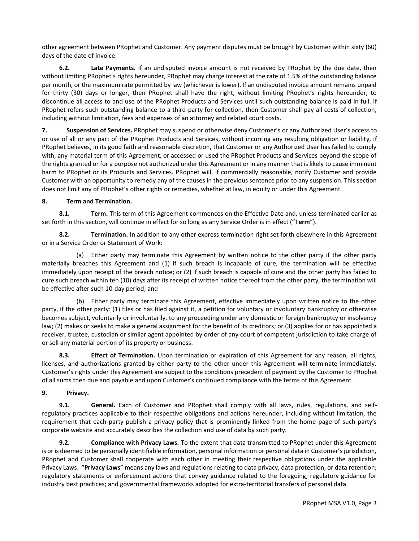other agreement between PRophet and Customer. Any payment disputes must be brought by Customer within sixty (60) days of the date of invoice.

**6.2. Late Payments.** If an undisputed invoice amount is not received by PRophet by the due date, then without limiting PRophet's rights hereunder, PRophet may charge interest at the rate of 1.5% of the outstanding balance per month, or the maximum rate permitted by law (whichever is lower). If an undisputed invoice amount remains unpaid for thirty (30) days or longer, then PRophet shall have the right, without limiting PRophet's rights hereunder, to discontinue all access to and use of the PRophet Products and Services until such outstanding balance is paid in full. If PRophet refers such outstanding balance to a third-party for collection, then Customer shall pay all costs of collection, including without limitation, fees and expenses of an attorney and related court costs.

**7. Suspension of Services.** PRophet may suspend or otherwise deny Customer's or any Authorized User's access to or use of all or any part of the PRophet Products and Services, without incurring any resulting obligation or liability, if PRophet believes, in its good faith and reasonable discretion, that Customer or any Authorized User has failed to comply with, any material term of this Agreement, or accessed or used the PRophet Products and Services beyond the scope of the rights granted or for a purpose not authorized under this Agreement or in any manner that is likely to cause imminent harm to PRophet or its Products and Services. PRophet will, if commercially reasonable, notify Customer and provide Customer with an opportunity to remedy any of the causes in the previous sentence prior to any suspension. This section does not limit any of PRophet's other rights or remedies, whether at law, in equity or under this Agreement.

## **8. Term and Termination.**

**8.1. Term.** This term of this Agreement commences on the Effective Date and, unless terminated earlier as set forth in this section, will continue in effect for so long as any Service Order is in effect ("**Term**").

**8.2. Termination.** In addition to any other express termination right set forth elsewhere in this Agreement or in a Service Order or Statement of Work:

(a) Either party may terminate this Agreement by written notice to the other party if the other party materially breaches this Agreement and (1) if such breach is incapable of cure, the termination will be effective immediately upon receipt of the breach notice; or (2) if such breach is capable of cure and the other party has failed to cure such breach within ten (10) days after its receipt of written notice thereof from the other party, the termination will be effective after such 10-day period; and

(b) Either party may terminate this Agreement, effective immediately upon written notice to the other party, if the other party: (1) files or has filed against it, a petition for voluntary or involuntary bankruptcy or otherwise becomes subject, voluntarily or involuntarily, to any proceeding under any domestic or foreign bankruptcy or insolvency law; (2) makes or seeks to make a general assignment for the benefit of its creditors; or (3) applies for or has appointed a receiver, trustee, custodian or similar agent appointed by order of any court of competent jurisdiction to take charge of or sell any material portion of its property or business.

**8.3. Effect of Termination.** Upon termination or expiration of this Agreement for any reason, all rights, licenses, and authorizations granted by either party to the other under this Agreement will terminate immediately. Customer's rights under this Agreement are subject to the conditions precedent of payment by the Customer to PRophet of all sums then due and payable and upon Customer's continued compliance with the terms of this Agreement.

### **9. Privacy.**

**9.1. General.** Each of Customer and PRophet shall comply with all laws, rules, regulations, and selfregulatory practices applicable to their respective obligations and actions hereunder, including without limitation, the requirement that each party publish a privacy policy that is prominently linked from the home page of such party's corporate website and accurately describes the collection and use of data by such party.

**9.2. Compliance with Privacy Laws.** To the extent that data transmitted to PRophet under this Agreement is or is deemed to be personally identifiable information, personal information or personal data in Customer's jurisdiction, PRophet and Customer shall cooperate with each other in meeting their respective obligations under the applicable Privacy Laws. "**Privacy Laws**" means any laws and regulations relating to data privacy, data protection, or data retention; regulatory statements or enforcement actions that convey guidance related to the foregoing; regulatory guidance for industry best practices; and governmental frameworks adopted for extra-territorial transfers of personal data.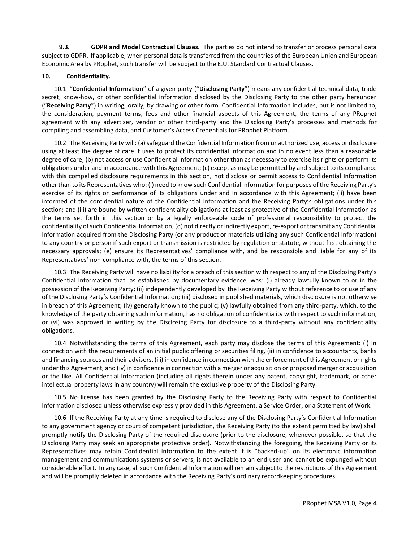**9.3. GDPR and Model Contractual Clauses.** The parties do not intend to transfer or process personal data subject to GDPR. If applicable, when personal data is transferred from the countries of the European Union and European Economic Area by PRophet, such transfer will be subject to the E.U. Standard Contractual Clauses.

#### **10. Confidentiality.**

10.1 "**Confidential Information**" of a given party ("**Disclosing Party**") means any confidential technical data, trade secret, know-how, or other confidential information disclosed by the Disclosing Party to the other party hereunder ("**Receiving Party**") in writing, orally, by drawing or other form. Confidential Information includes, but is not limited to, the consideration, payment terms, fees and other financial aspects of this Agreement, the terms of any PRophet agreement with any advertiser, vendor or other third-party and the Disclosing Party's processes and methods for compiling and assembling data, and Customer's Access Credentials for PRophet Platform.

10.2 The Receiving Party will: (a) safeguard the Confidential Information from unauthorized use, access or disclosure using at least the degree of care it uses to protect its confidential information and in no event less than a reasonable degree of care; (b) not access or use Confidential Information other than as necessary to exercise its rights or perform its obligations under and in accordance with this Agreement; (c) except as may be permitted by and subject to its compliance with this compelled disclosure requirements in this section, not disclose or permit access to Confidential Information other than to its Representatives who: (i) need to know such Confidential Information for purposes of the Receiving Party's exercise of its rights or performance of its obligations under and in accordance with this Agreement; (ii) have been informed of the confidential nature of the Confidential Information and the Receiving Party's obligations under this section; and (iii) are bound by written confidentiality obligations at least as protective of the Confidential Information as the terms set forth in this section or by a legally enforceable code of professional responsibility to protect the confidentiality of such Confidential Information; (d) not directly or indirectly export, re-export or transmit any Confidential Information acquired from the Disclosing Party (or any product or materials utilizing any such Confidential Information) to any country or person if such export or transmission is restricted by regulation or statute, without first obtaining the necessary approvals; (e) ensure its Representatives' compliance with, and be responsible and liable for any of its Representatives' non-compliance with, the terms of this section.

10.3 The Receiving Party will have no liability for a breach of this section with respect to any of the Disclosing Party's Confidential Information that, as established by documentary evidence, was: (i) already lawfully known to or in the possession of the Receiving Party; (ii) independently developed by the Receiving Party without reference to or use of any of the Disclosing Party's Confidential Information; (iii) disclosed in published materials, which disclosure is not otherwise in breach of this Agreement; (iv) generally known to the public; (v) lawfully obtained from any third-party, which, to the knowledge of the party obtaining such information, has no obligation of confidentiality with respect to such information; or (vi) was approved in writing by the Disclosing Party for disclosure to a third-party without any confidentiality obligations.

10.4 Notwithstanding the terms of this Agreement, each party may disclose the terms of this Agreement: (i) in connection with the requirements of an initial public offering or securities filing, (ii) in confidence to accountants, banks and financing sources and their advisors, (iii) in confidence in connection with the enforcement of this Agreement or rights under this Agreement, and (iv) in confidence in connection with a merger or acquisition or proposed merger or acquisition or the like. All Confidential Information (including all rights therein under any patent, copyright, trademark, or other intellectual property laws in any country) will remain the exclusive property of the Disclosing Party.

10.5 No license has been granted by the Disclosing Party to the Receiving Party with respect to Confidential Information disclosed unless otherwise expressly provided in this Agreement, a Service Order, or a Statement of Work.

10.6 If the Receiving Party at any time is required to disclose any of the Disclosing Party's Confidential Information to any government agency or court of competent jurisdiction, the Receiving Party (to the extent permitted by law) shall promptly notify the Disclosing Party of the required disclosure (prior to the disclosure, whenever possible, so that the Disclosing Party may seek an appropriate protective order). Notwithstanding the foregoing, the Receiving Party or its Representatives may retain Confidential Information to the extent it is "backed-up" on its electronic information management and communications systems or servers, is not available to an end user and cannot be expunged without considerable effort. In any case, all such Confidential Information will remain subject to the restrictions of this Agreement and will be promptly deleted in accordance with the Receiving Party's ordinary recordkeeping procedures.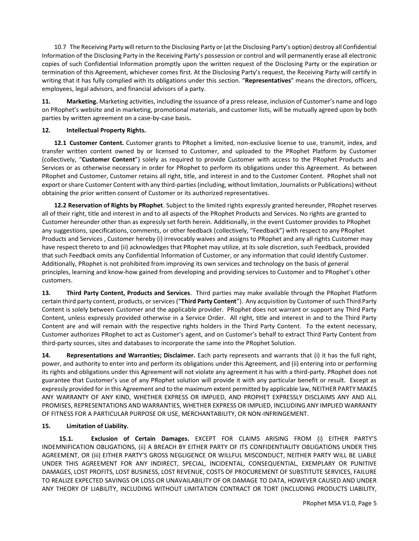10.7 The Receiving Party will return to the Disclosing Party or (at the Disclosing Party's option) destroy all Confidential Information of the Disclosing Party in the Receiving Party's possession or control and will permanently erase all electronic copies of such Confidential Information promptly upon the written request of the Disclosing Party or the expiration or termination of this Agreement, whichever comes first. At the Disclosing Party's request, the Receiving Party will certify in writing that it has fully complied with its obligations under this section. "**Representatives**" means the directors, officers, employees, legal advisors, and financial advisors of a party.

**11. Marketing.** Marketing activities, including the issuance of a press release, inclusion of Customer's name and logo on PRophet's website and in marketing, promotional materials, and customer lists, will be mutually agreed upon by both parties by written agreement on a case-by-case basis**.**

# **12. Intellectual Property Rights.**

**12.1 Customer Content.** Customer grants to PRophet a limited, non-exclusive license to use, transmit, index, and transfer written content owned by or licensed to Customer, and uploaded to the PRophet Platform by Customer (collectively, "**Customer Content**") solely as required to provide Customer with access to the PRophet Products and Services or as otherwise necessary in order for PRophet to perform its obligations under this Agreement. As between PRophet and Customer, Customer retains all right, title, and interest in and to the Customer Content. PRophet shall not export or share Customer Content with any third-parties (including, without limitation, Journalists or Publications) without obtaining the prior written consent of Customer or its authorized representatives.

**12.2 Reservation of Rights by PRophet**. Subject to the limited rights expressly granted hereunder, PRophet reserves all of their right, title and interest in and to all aspects of the PRophet Products and Services. No rights are granted to Customer hereunder other than as expressly set forth herein. Additionally, in the event Customer provides to PRophet any suggestions, specifications, comments, or other feedback (collectively, "Feedback") with respect to any PRophet Products and Services , Customer hereby (i) irrevocably waives and assigns to PRophet and any all rights Customer may have respect thereto to and (ii) acknowledges that PRophet may utilize, at its sole discretion, such Feedback, provided that such Feedback omits any Confidential Information of Customer, or any information that could identify Customer. Additionally, PRophet is not prohibited from improving its own services and technology on the basis of general principles, learning and know-how gained from developing and providing services to Customer and to PRophet's other customers.

**13. Third Party Content, Products and Services**. Third parties may make available through the PRophet Platform certain third party content, products, or services ("**Third Party Content**"). Any acquisition by Customer of such Third Party Content is solely between Customer and the applicable provider. PRophet does not warrant or support any Third Party Content, unless expressly provided otherwise in a Service Order. All right, title and interest in and to the Third Party Content are and will remain with the respective rights holders in the Third Party Content. To the extent necessary, Customer authorizes PRophet to act as Customer's agent, and on Customer's behalf to extract Third Party Content from third-party sources, sites and databases to incorporate the same into the PRophet Solution.

**14. Representations and Warranties; Disclaimer.** Each party represents and warrants that (i) it has the full right, power, and authority to enter into and perform its obligations under this Agreement, and (ii) entering into or performing its rights and obligations under this Agreement will not violate any agreement it has with a third-party. PRophet does not guarantee that Customer's use of any PRophet solution will provide it with any particular benefit or result. Except as expressly provided for in this Agreement and to the maximum extent permitted by applicable law, NEITHER PARTY MAKES ANY WARRANTY OF ANY KIND, WHETHER EXPRESS OR IMPLIED, AND PROPHET EXPRESSLY DISCLAIMS ANY AND ALL PROMISES, REPRESENTATIONS AND WARRANTIES, WHETHER EXPRESS OR IMPLIED, INCLUDING ANY IMPLIED WARRANTY OF FITNESS FOR A PARTICULAR PURPOSE OR USE, MERCHANTABILITY, OR NON-INFRINGEMENT.

### **15. Limitation of Liability.**

**15.1. Exclusion of Certain Damages.** EXCEPT FOR CLAIMS ARISING FROM (i) EITHER PARTY'S INDEMNIFICATION OBLIGATIONS, (ii) A BREACH BY EITHER PARTY OF ITS CONFIDENTIALITY OBLIGATIONS UNDER THIS AGREEMENT, OR (iii) EITHER PARTY'S GROSS NEGLIGENCE OR WILLFUL MISCONDUCT, NEITHER PARTY WILL BE LIABLE UNDER THIS AGREEMENT FOR ANY INDIRECT, SPECIAL, INCIDENTAL, CONSEQUENTIAL, EXEMPLARY OR PUNITIVE DAMAGES, LOST PROFITS, LOST BUSINESS, LOST REVENUE, COSTS OF PROCUREMENT OF SUBSTITUTE SERVICES, FAILURE TO REALIZE EXPECTED SAVINGS OR LOSS OR UNAVAILABILITY OF OR DAMAGE TO DATA, HOWEVER CAUSED AND UNDER ANY THEORY OF LIABILITY, INCLUDING WITHOUT LIMITATION CONTRACT OR TORT (INCLUDING PRODUCTS LIABILITY,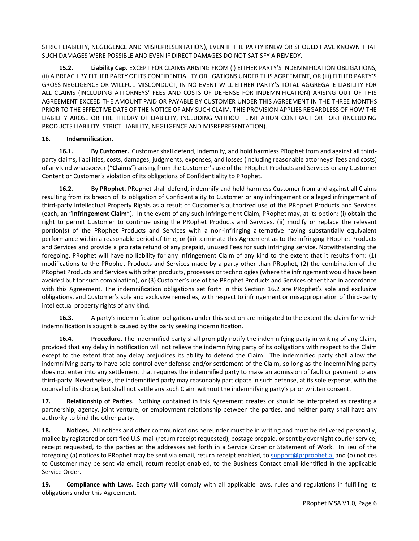STRICT LIABILITY, NEGLIGENCE AND MISREPRESENTATION), EVEN IF THE PARTY KNEW OR SHOULD HAVE KNOWN THAT SUCH DAMAGES WERE POSSIBLE AND EVEN IF DIRECT DAMAGES DO NOT SATISFY A REMEDY.

**15.2. Liability Cap.** EXCEPT FOR CLAIMS ARISING FROM (i) EITHER PARTY'S INDEMNIFICATION OBLIGATIONS, (ii) A BREACH BY EITHER PARTY OF ITS CONFIDENTIALITY OBLIGATIONS UNDER THIS AGREEMENT, OR (iii) EITHER PARTY'S GROSS NEGLIGENCE OR WILLFUL MISCONDUCT, IN NO EVENT WILL EITHER PARTY'S TOTAL AGGREGATE LIABILITY FOR ALL CLAIMS (INCLUDING ATTORNEYS' FEES AND COSTS OF DEFENSE FOR INDEMNIFICATION) ARISING OUT OF THIS AGREEMENT EXCEED THE AMOUNT PAID OR PAYABLE BY CUSTOMER UNDER THIS AGREEMENT IN THE THREE MONTHS PRIOR TO THE EFFECTIVE DATE OF THE NOTICE OF ANY SUCH CLAIM. THIS PROVISION APPLIES REGARDLESS OF HOW THE LIABILITY AROSE OR THE THEORY OF LIABILITY, INCLUDING WITHOUT LIMITATION CONTRACT OR TORT (INCLUDING PRODUCTS LIABILITY, STRICT LIABILITY, NEGLIGENCE AND MISREPRESENTATION).

## **16. Indemnification.**

**16.1. By Customer.** Customer shall defend, indemnify, and hold harmless PRophet from and against all thirdparty claims, liabilities, costs, damages, judgments, expenses, and losses (including reasonable attorneys' fees and costs) of any kind whatsoever ("**Claims**") arising from the Customer's use of the PRophet Products and Services or any Customer Content or Customer's violation of its obligations of Confidentiality to PRophet.

**16.2. By PRophet.** PRophet shall defend, indemnify and hold harmless Customer from and against all Claims resulting from its breach of its obligation of Confidentiality to Customer or any infringement or alleged infringement of third-party Intellectual Property Rights as a result of Customer's authorized use of the PRophet Products and Services (each, an "**Infringement Claim**"). In the event of any such Infringement Claim, PRophet may, at its option: (i) obtain the right to permit Customer to continue using the PRophet Products and Services, (ii) modify or replace the relevant portion(s) of the PRophet Products and Services with a non-infringing alternative having substantially equivalent performance within a reasonable period of time, or (iii) terminate this Agreement as to the infringing PRophet Products and Services and provide a pro rata refund of any prepaid, unused Fees for such infringing service. Notwithstanding the foregoing, PRophet will have no liability for any Infringement Claim of any kind to the extent that it results from: (1) modifications to the PRophet Products and Services made by a party other than PRophet, (2) the combination of the PRophet Products and Services with other products, processes or technologies (where the infringement would have been avoided but for such combination), or (3) Customer's use of the PRophet Products and Services other than in accordance with this Agreement. The indemnification obligations set forth in this Section 16.2 are PRophet's sole and exclusive obligations, and Customer's sole and exclusive remedies, with respect to infringement or misappropriation of third-party intellectual property rights of any kind.

**16.3.** A party's indemnification obligations under this Section are mitigated to the extent the claim for which indemnification is sought is caused by the party seeking indemnification.

**16.4. Procedure.** The indemnified party shall promptly notify the indemnifying party in writing of any Claim, provided that any delay in notification will not relieve the indemnifying party of its obligations with respect to the Claim except to the extent that any delay prejudices its ability to defend the Claim. The indemnified party shall allow the indemnifying party to have sole control over defense and/or settlement of the Claim, so long as the indemnifying party does not enter into any settlement that requires the indemnified party to make an admission of fault or payment to any third-party. Nevertheless, the indemnified party may reasonably participate in such defense, at its sole expense, with the counsel of its choice, but shall not settle any such Claim without the indemnifying party's prior written consent.

**17. Relationship of Parties.** Nothing contained in this Agreement creates or should be interpreted as creating a partnership, agency, joint venture, or employment relationship between the parties, and neither party shall have any authority to bind the other party.

**18. Notices.** All notices and other communications hereunder must be in writing and must be delivered personally, mailed by registered or certified U.S. mail (return receipt requested), postage prepaid, or sent by overnight courier service, receipt requested, to the parties at the addresses set forth in a Service Order or Statement of Work. In lieu of the foregoing (a) notices to PRophet may be sent via email, return receipt enabled, to [support@prprophet.ai](mailto:support@prprophet.ai) and (b) notices to Customer may be sent via email, return receipt enabled, to the Business Contact email identified in the applicable Service Order.

**19. Compliance with Laws.** Each party will comply with all applicable laws, rules and regulations in fulfilling its obligations under this Agreement.